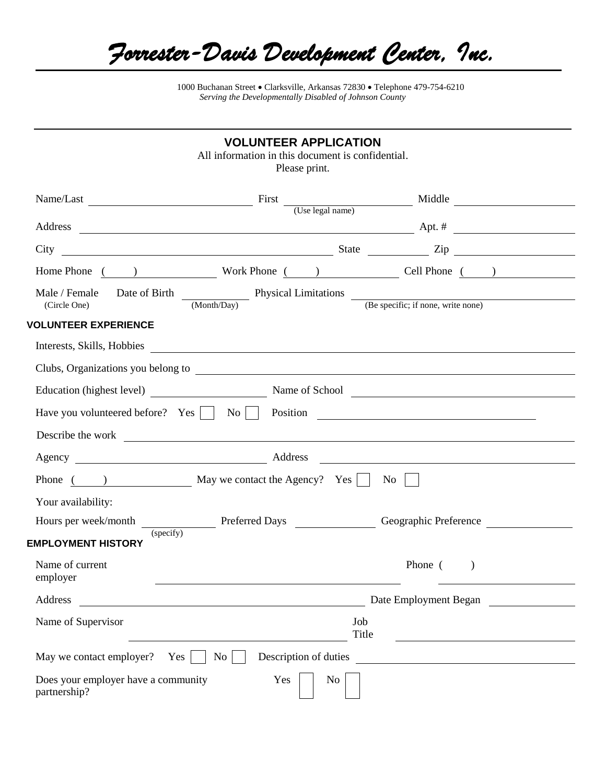*Forrester-Davis Development Center, Inc.* 

1000 Buchanan Street Clarksville, Arkansas 72830 Telephone 479-754-6210 *Serving the Developmentally Disabled of Johnson County*

|                                                                                                                                                                                                                                                                                           | <b>VOLUNTEER APPLICATION</b><br>All information in this document is confidential.                                                                                                                                                    | Please print.         |                       |  |  |
|-------------------------------------------------------------------------------------------------------------------------------------------------------------------------------------------------------------------------------------------------------------------------------------------|--------------------------------------------------------------------------------------------------------------------------------------------------------------------------------------------------------------------------------------|-----------------------|-----------------------|--|--|
|                                                                                                                                                                                                                                                                                           |                                                                                                                                                                                                                                      |                       |                       |  |  |
| Address                                                                                                                                                                                                                                                                                   |                                                                                                                                                                                                                                      |                       |                       |  |  |
|                                                                                                                                                                                                                                                                                           | $\frac{1}{2}$ Apt. #                                                                                                                                                                                                                 |                       |                       |  |  |
|                                                                                                                                                                                                                                                                                           |                                                                                                                                                                                                                                      |                       |                       |  |  |
|                                                                                                                                                                                                                                                                                           | Home Phone ( ) Work Phone ( ) Cell Phone ( )                                                                                                                                                                                         |                       |                       |  |  |
|                                                                                                                                                                                                                                                                                           | Male / Female Date of Birth $\frac{1}{(Month/Day)}$ Physical Limitations $\frac{1}{(Be \text{ specific}; \text{ if none}, \text{write none})}$                                                                                       |                       |                       |  |  |
| <b>VOLUNTEER EXPERIENCE</b>                                                                                                                                                                                                                                                               |                                                                                                                                                                                                                                      |                       |                       |  |  |
|                                                                                                                                                                                                                                                                                           |                                                                                                                                                                                                                                      |                       |                       |  |  |
|                                                                                                                                                                                                                                                                                           |                                                                                                                                                                                                                                      |                       |                       |  |  |
| Clubs, Organizations you belong to example and the set of the set of the set of the set of the set of the set of the set of the set of the set of the set of the set of the set of the set of the set of the set of the set of<br>Education (highest level) Name of School Name of School |                                                                                                                                                                                                                                      |                       |                       |  |  |
|                                                                                                                                                                                                                                                                                           | Have you volunteered before? Yes     No   Position _____________________________                                                                                                                                                     |                       |                       |  |  |
|                                                                                                                                                                                                                                                                                           | Describe the work <u>example and the set of the set of the set of the set of the set of the set of the set of the set of the set of the set of the set of the set of the set of the set of the set of the set of the set of the </u> |                       |                       |  |  |
|                                                                                                                                                                                                                                                                                           | Agency Address Address Address Address Address Address Address Address Agency Address Address Address Address Address Agency Address Agency Address Agency Address Agency Address Agency Address Agency Address Agency Address       |                       |                       |  |  |
|                                                                                                                                                                                                                                                                                           | Phone $($ ) May we contact the Agency? Yes $\Box$                                                                                                                                                                                    |                       | $\overline{N_{0}}$    |  |  |
| Your availability:                                                                                                                                                                                                                                                                        |                                                                                                                                                                                                                                      |                       |                       |  |  |
|                                                                                                                                                                                                                                                                                           | Hours per week/month Preferred Days Geographic Preference                                                                                                                                                                            |                       |                       |  |  |
| <b>EMPLOYMENT HISTORY</b>                                                                                                                                                                                                                                                                 | (specify)                                                                                                                                                                                                                            |                       |                       |  |  |
| Name of current<br>employer                                                                                                                                                                                                                                                               |                                                                                                                                                                                                                                      |                       | Phone $($ )           |  |  |
| Address                                                                                                                                                                                                                                                                                   |                                                                                                                                                                                                                                      |                       | Date Employment Began |  |  |
| Name of Supervisor                                                                                                                                                                                                                                                                        |                                                                                                                                                                                                                                      | Job<br>Title          |                       |  |  |
| May we contact employer? Yes                                                                                                                                                                                                                                                              | No                                                                                                                                                                                                                                   | Description of duties |                       |  |  |
| Does your employer have a community<br>partnership?                                                                                                                                                                                                                                       | Yes                                                                                                                                                                                                                                  | N <sub>0</sub>        |                       |  |  |